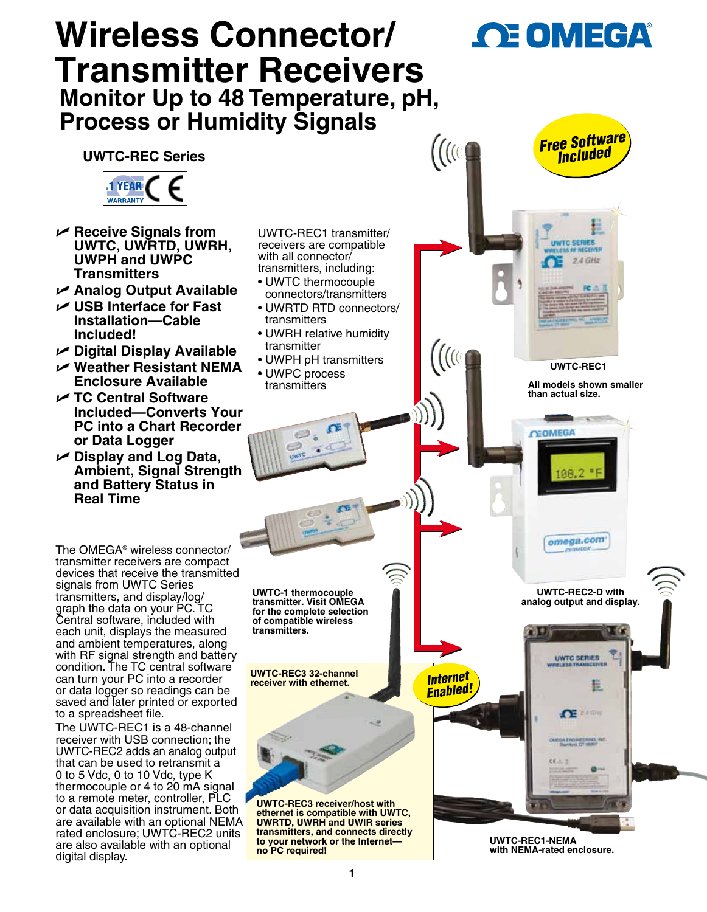